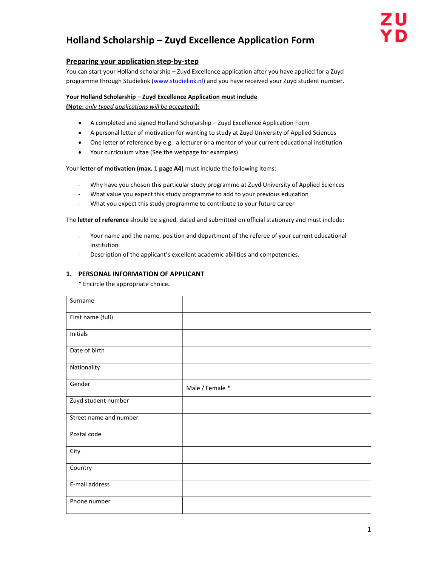# Holland Scholarship – Zuyd Excellence Application Form

# Preparing your application step-by-step

You can start your Holland scholarship – Zuyd Excellence application after you have applied for a Zuyd programme through Studielink (www.studielink.nl) and you have received your Zuyd student number.

## Your Holland Scholarship – Zuyd Excellence Application must include

(Note: only typed applications will be accepted!):

- A completed and signed Holland Scholarship Zuyd Excellence Application Form
- A personal letter of motivation for wanting to study at Zuyd University of Applied Sciences
- One letter of reference by e.g. a lecturer or a mentor of your current educational institution
- Your curriculum vitae (See the webpage for examples)

Your letter of motivation (max. 1 page A4) must include the following items:

- Why have you chosen this particular study programme at Zuyd University of Applied Sciences
- What value you expect this study programme to add to your previous education
- What you expect this study programme to contribute to your future career

The letter of reference should be signed, dated and submitted on official stationary and must include:

- Your name and the name, position and department of the referee of your current educational institution
- Description of the applicant's excellent academic abilities and competencies.

#### 1. PERSONAL INFORMATION OF APPLICANT

\* Encircle the appropriate choice.

| Surname                |                 |
|------------------------|-----------------|
| First name (full)      |                 |
| Initials               |                 |
| Date of birth          |                 |
| Nationality            |                 |
| Gender                 | Male / Female * |
| Zuyd student number    |                 |
| Street name and number |                 |
| Postal code            |                 |
| City                   |                 |
| Country                |                 |
| E-mail address         |                 |
| Phone number           |                 |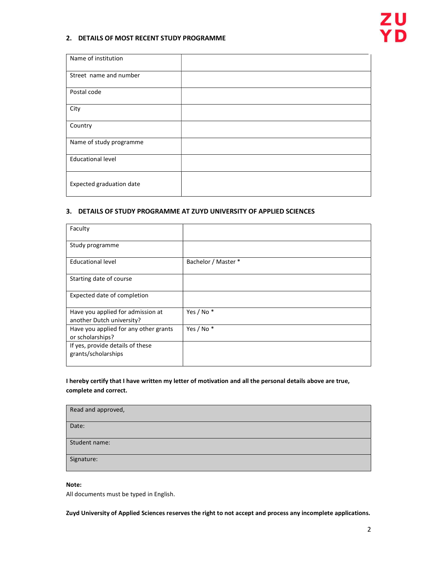## 2. DETAILS OF MOST RECENT STUDY PROGRAMME

| Name of institution      |  |
|--------------------------|--|
| Street name and number   |  |
| Postal code              |  |
| City                     |  |
| Country                  |  |
| Name of study programme  |  |
| <b>Educational level</b> |  |
| Expected graduation date |  |

#### 3. DETAILS OF STUDY PROGRAMME AT ZUYD UNIVERSITY OF APPLIED SCIENCES

| Faculty                                                        |                       |
|----------------------------------------------------------------|-----------------------|
| Study programme                                                |                       |
| <b>Educational level</b>                                       | Bachelor / Master *   |
| Starting date of course                                        |                       |
| Expected date of completion                                    |                       |
| Have you applied for admission at<br>another Dutch university? | Yes / No <sup>*</sup> |
| Have you applied for any other grants<br>or scholarships?      | Yes / No <sup>*</sup> |
| If yes, provide details of these<br>grants/scholarships        |                       |

## I hereby certify that I have written my letter of motivation and all the personal details above are true, complete and correct.

| Read and approved, |
|--------------------|
| Date:              |
| Student name:      |
| Signature:         |

#### Note:

All documents must be typed in English.

Zuyd University of Applied Sciences reserves the right to not accept and process any incomplete applications.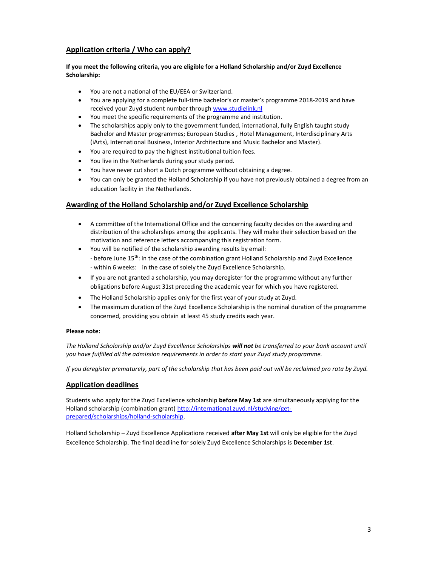## Application criteria / Who can apply?

#### If you meet the following criteria, you are eligible for a Holland Scholarship and/or Zuyd Excellence Scholarship:

- You are not a national of the EU/EEA or Switzerland.
- You are applying for a complete full-time bachelor's or master's programme 2018-2019 and have received your Zuyd student number through www.studielink.nl
- You meet the specific requirements of the programme and institution.
- The scholarships apply only to the government funded, international, fully English taught study Bachelor and Master programmes; European Studies , Hotel Management, Interdisciplinary Arts (iArts), International Business, Interior Architecture and Music Bachelor and Master).
- You are required to pay the highest institutional tuition fees.
- You live in the Netherlands during your study period.
- You have never cut short a Dutch programme without obtaining a degree.
- You can only be granted the Holland Scholarship if you have not previously obtained a degree from an education facility in the Netherlands.

## Awarding of the Holland Scholarship and/or Zuyd Excellence Scholarship

- A committee of the International Office and the concerning faculty decides on the awarding and distribution of the scholarships among the applicants. They will make their selection based on the motivation and reference letters accompanying this registration form.
- You will be notified of the scholarship awarding results by email: - before June 15<sup>th</sup>: in the case of the combination grant Holland Scholarship and Zuyd Excellence - within 6 weeks: in the case of solely the Zuyd Excellence Scholarship.
- If you are not granted a scholarship, you may deregister for the programme without any further obligations before August 31st preceding the academic year for which you have registered.
- The Holland Scholarship applies only for the first year of your study at Zuyd.
- The maximum duration of the Zuyd Excellence Scholarship is the nominal duration of the programme concerned, providing you obtain at least 45 study credits each year.

#### Please note:

The Holland Scholarship and/or Zuyd Excellence Scholarships will not be transferred to your bank account until you have fulfilled all the admission requirements in order to start your Zuyd study programme.

If you deregister prematurely, part of the scholarship that has been paid out will be reclaimed pro rata by Zuyd.

## Application deadlines

Students who apply for the Zuyd Excellence scholarship before May 1st are simultaneously applying for the Holland scholarship (combination grant) http://international.zuyd.nl/studying/getprepared/scholarships/holland-scholarship.

Holland Scholarship – Zuyd Excellence Applications received after May 1st will only be eligible for the Zuyd Excellence Scholarship. The final deadline for solely Zuyd Excellence Scholarships is December 1st.